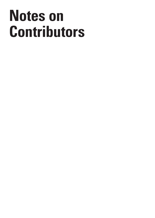## **Notes on Contributors**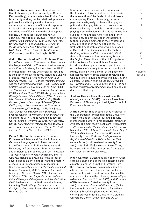**Stefania Achella** is associate professor of Moral Philosophy at the University of Chieti-Pescara (Italy), where she teaches Ethics. She is currently working on the relationship between philosophy and biology in the nineteenth century, on the concepts of life and corporeity in classical German philosophy, and on the contributions of Feminism to the philosophical debate. On these topics: *Pensare la vita. Saggio su Hegel* (Il Mulino, 2020), *Reason and Life. Attempting a dialogue between Jacobi and Hegel*, (in «Archivio di Filosofia», 2020), *Gendering the Anthropocene?* (in "Itinerari" 2020), *The Owl's Flight. Hegel's Legacy to Contemporary Philosophy* (co-editor, De Gruyter 2021).

**Judith Butler** is Maxine Elliot Professor Emer. in the Department of Comparative Literature and the Program of Critical Theory at the University of California, Berkeley. They received her Ph.D. in Philosophy from Yale University in 1984. She is the author of several books, including *Subjects of Desire: Hegelian Reflections in Twentieth-Century France*, (1987), *Gender Trouble: Feminism and the Subversion of Identity* (1990), *Bodies That Matter: On the Discursive Limits of "Sex"* (1993), *The Psychic Life of Power: Theories of Subjection* (1997), *Excitable Speech* (1997), *Antigone's Claim: Kinship Between Life and Death* (2000), *Precarious Life: Powers of Violence and Mourning* (2004); *Frames of War: When Is Life Grievable?*(2009), *Parting Ways: Jewishness and the Critique of Zionism* (2012), Who Sings the Nation State, with Gayatri Chakravorty Spivak, (2005); *Dispossession: The Performative in the Political* co-authored with Athena Athanasiou (2013); *Notes Toward a Performative Theory of Assembly* (2015), *Vulnerability in Resistance (co-authored with Leticia Sabsay and Zeynep Gambetti, 2016)* and *The Force of Non-Violence*, (2020).

**Peter E. Gordon** is the Amabel B. James Professor of History and Faculty Affiliate in Germanic Languages and Literatures and in the Department of Philosophy at Harvard University. A frequent contributor of reviews and criticism to periodicals such as *The Nation, The New Republic, The Boston Revie*w, and *The New York Review of Books*, he is the author of several books on critical theory and the history of modern European philosophy, including *Rosenzweig and Heidegger: between Judaism and German Philosophy* (2003); *Continental Divide: Heidegger, Cassirer, Davos* (2010); *Adorno and Existence* (2016); and *Migrants in the Profane: Critical Theory and the Question of Secularization*  (2020. He has also co-edited several volumes, including *The Routledge Companion to the Frankfurt School,* with Espen Hammer and Axel

**Oliver Feltham** teaches and researches at the American University of Paris. He works in the intersection of the fields of critical theory, contemporary French philosophy, Lacanian psychoanalysis, early modern philosophy, and political philosophy. His current project is to develop a history of models of political action, playing practical episodes of political innovation, such as in the English, American and French revolutions, against philosophers' attempts to theorize those moments in their systematic accounts of politics and social justice. The first installment of this project was published in March 2013 by Bloomsbury under the title *Anatomy of Failure: Philosophy and Political Action*. It focuses on the Leveller-agitators in the English Revolution and the philosophies of John Locke and Thomas Hobbes. The second instalment developed a theory of political action on the basis of a strong interpretation of David Hume, playing Hume's model of the passions against his history of the English revolution. It was published in 2019 under the title *Destroy and Liberate: Political Action on the basis of Hume* by Rowman and Littlefield International. He has recently written a tragicomedy about ecological disaster called *Twig*.

**Andrew Haas** is the author, most recently, of *Unity and Aspect* (2018). He is an Associate Professor of Philosophy at the Higher School of Economics, Moscow.

**Adrian Johnston** is Distinguished Professor in the Department of Philosophy at the University of New Mexico at Albuquerque and a faculty member at the Emory Psychoanalytic Institute in Atlanta. His most recent books are *Irrepressible Truth: On Lacan's "The Freudian Thing"* (Palgrave Macmillan, 2017), *A New German Idealism: Hegel, Žižek, and Dialectical Materialism* (Columbia University Press, 2018), and *Prolegomena to Any Future Materialism, Volume Two: A Weak Nature Alone* (Northwestern University Press, 2019). With Todd McGowan and Slavoj Žižek, he is a co-editor of the book series *Diaeresis* at Northwestern University Press.

**Kojin Karatani** a Japanese philosopher. After earning a bachelor's degree in economics and a master's degree in English literature from the University of Tokyo, he made his debut as a literary critic. Since then, he has published works dealing with a wide variety of areas. His major works include the following; *Transcritique --Kant and Marx* (MIT Press 2005), and *Structure of World History* (Duke University Press 2014). *Isonomia - Origins of Philosophy* (Duke University Press 2017), and *Marx, Toward the Center of Possibility* (Verso 2020). He was a visiting professor at Yale University, Columbia University, Cornell University, and UCLA.

Volume 8 Issue 2

S I S & C R I T I  $\Omega$ U E /

C R I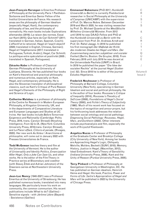**Jean-François Kervegan** is Emeritus Professor of Philosophy at the University Paris 1 Panthéon-Sorbonne and Emeritus Senior Fellow of the Institut Universitaire de France. His research areas are the philosophy of German Idealism (especially Hegel, Kant), the contemporary philosophy of law, and the philosophy of normativity. His main books include: Explorations allemandes (2019); La raison des normes. Essai sur Kant (2015); Que faire de Carl Schmitt? (2011; translated in German, Italian, Spanish, Czech); L'effectif et le rationnel. Hegel et l'esprit objectif (2020; translated in English, Chinese, German); Hegel et l'hégélianisme (2017; translated in Portuguese, Turkish, Arabic); Hegel, Car Schmitt. Le politique entre spéculation et positivité (2005 ; translated in Spanish, Portuguese).

**Zdravko Kobe** is Professor of Classical German Philosophy at the University of Ljubljana, Slovenia. He has published four books on Kant's theoretical and practical philosophy and numerous articles, especially on Kant, Hegel, and contemporary philosophy. He is also the Slovenian translator of philosophical classics, such as Kant's Critique of Pure Reason and Hegel's Elements of the Philosophy of Right and Science of Logic.

**Catherine Malabou** is a professor of philosophy at the Centre for Research in Modern European Philosophy, at Kingston University, UK, and in the departments of Comparative Literature and European Languages and Studies at UC Irvine. Her last books include *Before Tomorrow: Epigenesis and Rationality* (Cambridge: Polity Press, 2016, trans. Carolyn Shread) *Morphing Intelligence, From IQ to IA*, (New York: Columbia University Press, 2018,trans. Carolyn Shread), and L*e Plaisir effacé, Clitoris et pensée,* (Rivages, 2020). Her new work *Au Voleur ! Anarchisme et philosophie*, will come out in January 2022 with Presses Universitaires de France.

**Todd McGowan** teaches theory and film at the University of Vermont. He is the author of *Universality and Identity Politics*, *Emancipation After Hegel*, *Only a Joke Can Save Us*, and other works. He is the editor of the Film Theory in Practice series at Bloomsbury and coeditor (with Slavoj Žižek and Adrian Johnston) of the Diaeresis series at Northwestern University Press.

**Jean-Luc Nancy** (1940-2021) was a Professor Emeritus at the University of Strasbourg; He has published numerous books, translated into many languages. We particularly know his work on community, the common communism. His recent publications include: What to do? (Galileo) - Sensitive signals - with Jérôme Lèbre (Bayard) - Sexistence (Galileo)

**Emmanuel Nakamura** (PhD 2017, *Humboldt-Universität zu Berlin*) is currently Postdoctoral researcher in Social Philosophy at the *University of Campinas* (UNICAMP) with the supervision of Prof. Dr. Marcos Nobre. Between December 2019 and March 2020, he was visiting researcher by Prof. Dr. Michael Quante at the *Westfälische Wilhelms-Universität* Münster. From 2012 until 2016 he was DAAD-Fellow and PhD at the *Humboldt-Universität zu Berlin* with the supervision from Prof. Dr. Andreas Arndt and Prof. Dr. Rahel Jaeggi. In 2018 he published his first monograph *Der Maßstab der Kritik des modernen Staates bei Hegel und Marx. Der Zusammenhang zwischen subjektiver und sozialer Freiheit* (Berlin; Boston: De Gruyter, 2018). From February 2018 until July 2019 he was docent at the Universidade Paulista (UNIP) in Brazil. In 2019 he published the paper "Die Idee der sozialen Rechte" at the journal *Hegel-Studien* (vol. 52). Since 2018 he is editor of the journal *Estudos Hegelianos*.

**Frederick Neuhouser** is Professor of Philosophy at Barnard College, Columbia University (New York), specializing in German Idealism and social and political philosophy. He is the author of four books: *Rousseau's Critique of Inequality* (2014), *Rousseau's Theodicy of Self-Love* (2008), *Foundations of Hegel's Social Theory* (2000), and *Fichte's Theory of Subjectivity*  (1990). Much of his recent work has focused on the topics of recognition and *amour-propre*, but his forthcoming book addresses the relation between social ontology and social pathology: *Diagnosing Social Pathology: Rousseau, Hegel, Marx, and Durkheim* (2022). Other interests include psychoanalysis and film, especially the work of Krzysztof Kieślowski.

**Angelica Nuzzo** is Professor of Philosophy at the Graduate Center and Brooklyn College (City University of New York). Among her books are Approaching Hegel's Logic, Obliquely. Melville, Molière, Beckett (SUNY, 2018); Memory, History, Justice in Hegel, (Macmillan, 2012), Ideal Embodiment. Kant's Theory of Sensibility (Indiana University Press, 2008), Kant and the Unity of Reason (Purdue University Press, 2005).

**Terry Pinkard** is Professor of Philosophy at Georgetown University in Washington, DC. He has published on German idealism, Heinrich Heine and Hegel. His book, *Practice, Power and Forms of Life: Sartre's Appropriation of Hegel and Marx* will be published in 2022 by the University of Chicago Press.

466

& C R I T I  $\Omega$ U E / Volume 8

Issue 2

C R I S I S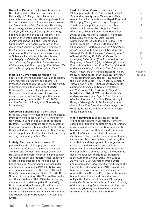**Robert B. Pippin** is the Evelyn Stefansson Nef Distinguished Service Professor at the University of Chicago. He is the author of several books on modern German philosophy, a book on philosophy and literature, *Henry James and Modern Moral Life* (Cambridge University Press, 2001); a book on modernist art, *After the Beautiful* (University of Chicago Press, 2013), and five books on film and philosophy. He is a past winner of the Mellon Distinguished Achievement Award in the Humanities, a Guggenheim Fellowship, is a fellow of the American Academy of Arts and Sciences, of the American Philosophical Society, and is a member of the German National Academy of Sciences, Leopoldina. His latest books are *Metaphysical Exile: On J.M. Coetzee's Jesus Fictions*, *Douglas Sirk: Filmmaker and Philosopher*, and *Philosophy by Other Means: The Arts in Philosophy and Philosophy in the Arts*.

## **Marcia Sá Cavalcante Schuback** is a

specialist in Phenomenology, German Idealism, contemporary philosophy, and aesthetics. Professor of philosophy at Södertörn University in Sweden, she is the translator of Martin Heidegger's Being and Time into Portuguese. She is also an author of several books and numerous articles touching upon themes in phenomenology, existential (SUNY, 2020), and the Fascism of Ambiguity (Bloomsbury, forthcoming).

**Christoph Schuringa** got his PhD from Birkbeck, University of London and is Assistant Professor of Philosophy at NCH/Northeastern University in London and Editor of the Hegel Bulletin. His chief interests are in the history of European philosophy (especially Aristotle, Kant, Hegel and Marx), in Marxism and critical theory, and in the politics of colonialism. He is currently working on a monograph on Marx.

**Ludwig Siep** is emeritus professor of philosophy at the philosophy department and senior professor at the research cluster "religion and politics" of Münster University. He works on the history of practical philosophy, German idealism and modern ethics, especially bioethics. His publications include several books on Hegel Anerkennung als Prinzip der praktischen Philosophie (1979/2014), Der Weg der Phänomenologie des Geistes (2000, engl. Hegel's Phenomonology of Spirit, CUP 2014) Der Staat als irdischer Gott (2015) as well as books on Ethics (Konkrete Ethik, 2004), Technisierung der Natur – Historisierung der Moral (2020). He is editor of G.W.F. Hegel, Grundlinien der Philosophie des Rechts (1997, 4th enlarged edition 2017) and (together with Heikki Ikäheimo and Michael Quante) Handbuch Anerkennung (2021).

**Prof. Dr. Klaus Vieweg**, Professor for Philosophy, Institute of Philosophy, Friedrich-Schiller-University Jena. Main areas of his research are German Idealism, Hegel, Practical Philosophy, Theory and History of Skepticism, Aesthetics. His publications inclure: *The Idealism of Freedom: For a Hegelian Turn in Philosophy*. Boston, Leiden 2020; *Hegel. Der Philosoph der Freiheit.* Biographie. München 2019; *Das Denken der Freiheit – Hegels Grundlinien der Philosophie des Rechts,* (The Idea of Freedom – Hegels Outlines oft he Philosophy of Right), München 2012; *Hegel and Scepticism*, (Hg. G. Faraklas, J. Kozatsas, K. Vieweg), Berlin 2017; *Hegels Philosophy of Art* (Chinese). Peking 2018; *Das Ende der Kunst als Anfang freier Kunst* (The End of Art as the Beginning of Free Art) (Hg. K. Vieweg/F. Iannelli, F. Vercellone), München 2015; *Zur Architektonik praktischer Vernunft – Hegel in Transformation* (On Architecture of Practical Reason) (Hg. H. Rosa, K. Vieweg), Berlin 2014; *Hegel - 200 Jahre Wissenschaft der Logik* (Hegel – 200 Years of the Science of Logic) (Hg. T. Koch, F. Schick, K. Vieweg, C. Wirsing). Hamburg 2011; *Shandean Humour in English and German Literature and Philosophy.* (Hg. K. Vieweg/J. Vigus/K. M. Wheeler), Oxford 2013; *Zur Architektonik praktischer Vernunft – Hegel in Transformation* (On Architecture of Practical Reason) (Hg. H. Rosa, K. Vieweg), Berlin 2014; *La logica della libertá*. Pisa 2016; *Inventions of the Imagination* (R. Gray, N. Halmi, M. Rosenthal, K. Vieweg) Seattle, London 2011.

**Rocío Zambrana** is associate professor of philosophy at Emory University. Her work examines critiques of capitalism and coloniality in various philosophical traditions, especially Marxism, Decolonial Thought, and Feminisms of the Américas (Latinx, Latin American, Caribbean). Her current work explores coloniality as the afterlife of colonialism, considering the articulation and deployment of race/gender as crucial to the development and resilience of capitalism. She considers the manifestations of coloniality in a colonial context by examining fiscally distressed Puerto Rico. Zambrana is the author of *Colonial Debts: The Case of Puerto Rico* (Duke University Press, 2021) and *Hegel's Theory of Intelligibility* (Chicago: The University of Chicago Press, 2015), in addition to articles, book chapters, and columns on related themes. She is a Co-Editor, with Bonnie Mann, Erin McKenna, and Camisha Russell, of Hypatia: A Journal of Feminist Philosophy; series Co-Editor, with María del Rosario Acosta, of the forthcoming Constelaciones de filosofía feminista (Herder); and have been columnist for 80grados (San Juan, Puerto Rico).